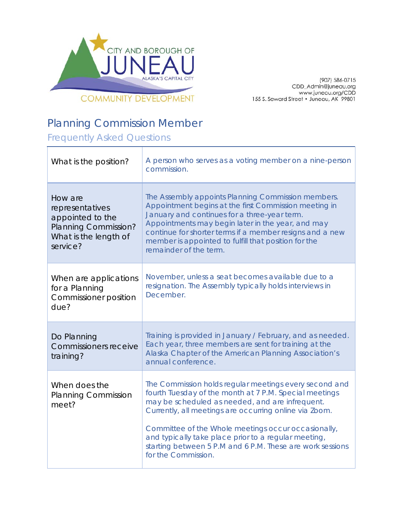

907) 586-0715)<br>CDD\_Admin@juneau.org<br>www.juneau.org/CDD 155 S. Seward Street • Juneau, AK 99801

## Planning Commission Member

Frequently Asked Questions

| What is the position?                                                                                       | A person who serves as a voting member on a nine-person<br>commission.                                                                                                                                                                                                                                                                                                                                                           |
|-------------------------------------------------------------------------------------------------------------|----------------------------------------------------------------------------------------------------------------------------------------------------------------------------------------------------------------------------------------------------------------------------------------------------------------------------------------------------------------------------------------------------------------------------------|
| How are<br>representatives<br>appointed to the<br>Planning Commission?<br>What is the length of<br>service? | The Assembly appoints Planning Commission members.<br>Appointment begins at the first Commission meeting in<br>January and continues for a three-year term.<br>Appointments may begin later in the year, and may<br>continue for shorter terms if a member resigns and a new<br>member is appointed to fulfill that position for the<br>remainder of the term.                                                                   |
| When are applications<br>for a Planning<br>Commissioner position<br>due?                                    | November, unless a seat becomes available due to a<br>resignation. The Assembly typically holds interviews in<br>December.                                                                                                                                                                                                                                                                                                       |
| Do Planning<br><b>Commissioners receive</b><br>training?                                                    | Training is provided in January / February, and as needed.<br>Each year, three members are sent for training at the<br>Alaska Chapter of the American Planning Association's<br>annual conference.                                                                                                                                                                                                                               |
| When does the<br><b>Planning Commission</b><br>meet?                                                        | The Commission holds regular meetings every second and<br>fourth Tuesday of the month at 7 P.M. Special meetings<br>may be scheduled as needed, and are infrequent.<br>Currently, all meetings are occurring online via Zoom.<br>Committee of the Whole meetings occur occasionally,<br>and typically take place prior to a regular meeting,<br>starting between 5 P.M and 6 P.M. These are work sessions<br>for the Commission. |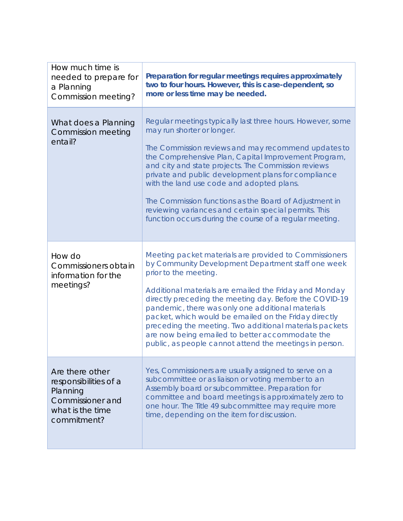| How much time is<br>needed to prepare for<br>a Planning<br>Commission meeting?                              | Preparation for regular meetings requires approximately<br>two to four hours. However, this is case-dependent, so<br>more or less time may be needed.                                                                                                                                                                                                                                                                                                                                                                                             |
|-------------------------------------------------------------------------------------------------------------|---------------------------------------------------------------------------------------------------------------------------------------------------------------------------------------------------------------------------------------------------------------------------------------------------------------------------------------------------------------------------------------------------------------------------------------------------------------------------------------------------------------------------------------------------|
| What does a Planning<br>Commission meeting<br>entail?                                                       | Regular meetings typically last three hours. However, some<br>may run shorter or longer.<br>The Commission reviews and may recommend updates to<br>the Comprehensive Plan, Capital Improvement Program,<br>and city and state projects. The Commission reviews<br>private and public development plans for compliance<br>with the land use code and adopted plans.<br>The Commission functions as the Board of Adjustment in<br>reviewing variances and certain special permits. This<br>function occurs during the course of a regular meeting.  |
| How do<br>Commissioners obtain<br>information for the<br>meetings?                                          | Meeting packet materials are provided to Commissioners<br>by Community Development Department staff one week<br>prior to the meeting.<br>Additional materials are emailed the Friday and Monday<br>directly preceding the meeting day. Before the COVID-19<br>pandemic, there was only one additional materials<br>packet, which would be emailed on the Friday directly<br>preceding the meeting. Two additional materials packets<br>are now being emailed to better accommodate the<br>public, as people cannot attend the meetings in person. |
| Are there other<br>responsibilities of a<br>Planning<br>Commissioner and<br>what is the time<br>commitment? | Yes, Commissioners are usually assigned to serve on a<br>subcommittee or as liaison or voting member to an<br>Assembly board or subcommittee. Preparation for<br>committee and board meetings is approximately zero to<br>one hour. The Title 49 subcommittee may require more<br>time, depending on the item for discussion.                                                                                                                                                                                                                     |